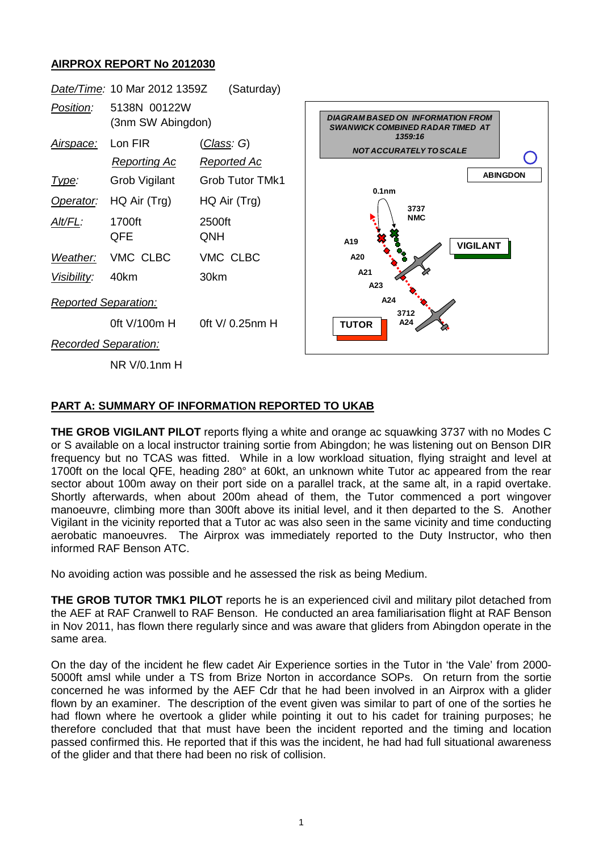## **AIRPROX REPORT No 2012030**



## **PART A: SUMMARY OF INFORMATION REPORTED TO UKAB**

**THE GROB VIGILANT PILOT** reports flying a white and orange ac squawking 3737 with no Modes C or S available on a local instructor training sortie from Abingdon; he was listening out on Benson DIR frequency but no TCAS was fitted. While in a low workload situation, flying straight and level at 1700ft on the local QFE, heading 280° at 60kt, an unknown white Tutor ac appeared from the rear sector about 100m away on their port side on a parallel track, at the same alt, in a rapid overtake. Shortly afterwards, when about 200m ahead of them, the Tutor commenced a port wingover manoeuvre, climbing more than 300ft above its initial level, and it then departed to the S. Another Vigilant in the vicinity reported that a Tutor ac was also seen in the same vicinity and time conducting aerobatic manoeuvres. The Airprox was immediately reported to the Duty Instructor, who then informed RAF Benson ATC.

No avoiding action was possible and he assessed the risk as being Medium.

**THE GROB TUTOR TMK1 PILOT** reports he is an experienced civil and military pilot detached from the AEF at RAF Cranwell to RAF Benson. He conducted an area familiarisation flight at RAF Benson in Nov 2011, has flown there regularly since and was aware that gliders from Abingdon operate in the same area.

On the day of the incident he flew cadet Air Experience sorties in the Tutor in 'the Vale' from 2000- 5000ft amsl while under a TS from Brize Norton in accordance SOPs. On return from the sortie concerned he was informed by the AEF Cdr that he had been involved in an Airprox with a glider flown by an examiner. The description of the event given was similar to part of one of the sorties he had flown where he overtook a glider while pointing it out to his cadet for training purposes; he therefore concluded that that must have been the incident reported and the timing and location passed confirmed this. He reported that if this was the incident, he had had full situational awareness of the glider and that there had been no risk of collision.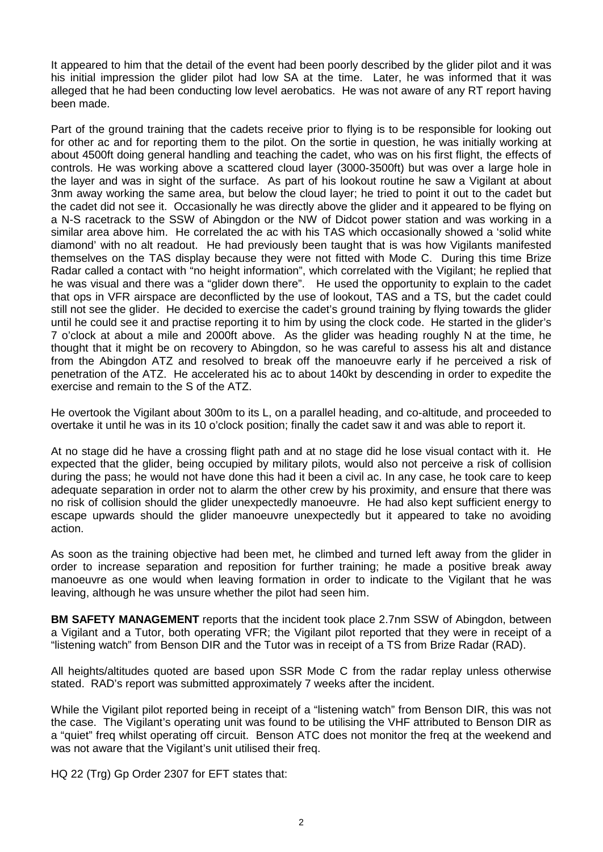It appeared to him that the detail of the event had been poorly described by the glider pilot and it was his initial impression the glider pilot had low SA at the time. Later, he was informed that it was alleged that he had been conducting low level aerobatics. He was not aware of any RT report having been made.

Part of the ground training that the cadets receive prior to flying is to be responsible for looking out for other ac and for reporting them to the pilot. On the sortie in question, he was initially working at about 4500ft doing general handling and teaching the cadet, who was on his first flight, the effects of controls. He was working above a scattered cloud layer (3000-3500ft) but was over a large hole in the layer and was in sight of the surface. As part of his lookout routine he saw a Vigilant at about 3nm away working the same area, but below the cloud layer; he tried to point it out to the cadet but the cadet did not see it. Occasionally he was directly above the glider and it appeared to be flying on a N-S racetrack to the SSW of Abingdon or the NW of Didcot power station and was working in a similar area above him. He correlated the ac with his TAS which occasionally showed a 'solid white diamond' with no alt readout. He had previously been taught that is was how Vigilants manifested themselves on the TAS display because they were not fitted with Mode C. During this time Brize Radar called a contact with "no height information", which correlated with the Vigilant; he replied that he was visual and there was a "glider down there". He used the opportunity to explain to the cadet that ops in VFR airspace are deconflicted by the use of lookout, TAS and a TS, but the cadet could still not see the glider. He decided to exercise the cadet's ground training by flying towards the glider until he could see it and practise reporting it to him by using the clock code. He started in the glider's 7 o'clock at about a mile and 2000ft above. As the glider was heading roughly N at the time, he thought that it might be on recovery to Abingdon, so he was careful to assess his alt and distance from the Abingdon ATZ and resolved to break off the manoeuvre early if he perceived a risk of penetration of the ATZ. He accelerated his ac to about 140kt by descending in order to expedite the exercise and remain to the S of the ATZ.

He overtook the Vigilant about 300m to its L, on a parallel heading, and co-altitude, and proceeded to overtake it until he was in its 10 o'clock position; finally the cadet saw it and was able to report it.

At no stage did he have a crossing flight path and at no stage did he lose visual contact with it. He expected that the glider, being occupied by military pilots, would also not perceive a risk of collision during the pass; he would not have done this had it been a civil ac. In any case, he took care to keep adequate separation in order not to alarm the other crew by his proximity, and ensure that there was no risk of collision should the glider unexpectedly manoeuvre. He had also kept sufficient energy to escape upwards should the glider manoeuvre unexpectedly but it appeared to take no avoiding action.

As soon as the training objective had been met, he climbed and turned left away from the glider in order to increase separation and reposition for further training; he made a positive break away manoeuvre as one would when leaving formation in order to indicate to the Vigilant that he was leaving, although he was unsure whether the pilot had seen him.

**BM SAFETY MANAGEMENT** reports that the incident took place 2.7nm SSW of Abingdon, between a Vigilant and a Tutor, both operating VFR; the Vigilant pilot reported that they were in receipt of a "listening watch" from Benson DIR and the Tutor was in receipt of a TS from Brize Radar (RAD).

All heights/altitudes quoted are based upon SSR Mode C from the radar replay unless otherwise stated. RAD's report was submitted approximately 7 weeks after the incident.

While the Vigilant pilot reported being in receipt of a "listening watch" from Benson DIR, this was not the case. The Vigilant's operating unit was found to be utilising the VHF attributed to Benson DIR as a "quiet" freq whilst operating off circuit. Benson ATC does not monitor the freq at the weekend and was not aware that the Vigilant's unit utilised their freq.

HQ 22 (Trg) Gp Order 2307 for EFT states that: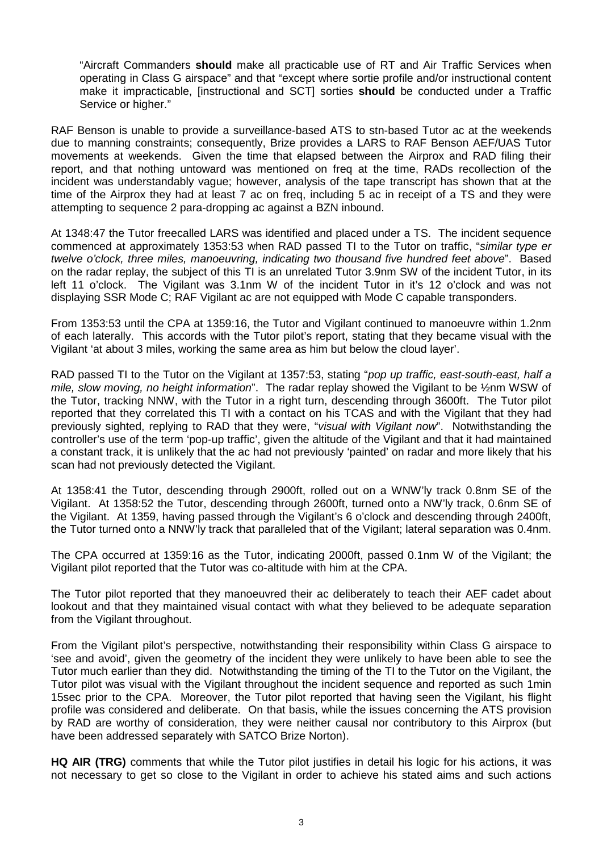"Aircraft Commanders **should** make all practicable use of RT and Air Traffic Services when operating in Class G airspace" and that "except where sortie profile and/or instructional content make it impracticable, [instructional and SCT] sorties **should** be conducted under a Traffic Service or higher."

RAF Benson is unable to provide a surveillance-based ATS to stn-based Tutor ac at the weekends due to manning constraints; consequently, Brize provides a LARS to RAF Benson AEF/UAS Tutor movements at weekends. Given the time that elapsed between the Airprox and RAD filing their report, and that nothing untoward was mentioned on freq at the time, RADs recollection of the incident was understandably vague; however, analysis of the tape transcript has shown that at the time of the Airprox they had at least 7 ac on freq, including 5 ac in receipt of a TS and they were attempting to sequence 2 para-dropping ac against a BZN inbound.

At 1348:47 the Tutor freecalled LARS was identified and placed under a TS. The incident sequence commenced at approximately 1353:53 when RAD passed TI to the Tutor on traffic, "*similar type er twelve o'clock, three miles, manoeuvring, indicating two thousand five hundred feet above*". Based on the radar replay, the subject of this TI is an unrelated Tutor 3.9nm SW of the incident Tutor, in its left 11 o'clock. The Vigilant was 3.1nm W of the incident Tutor in it's 12 o'clock and was not displaying SSR Mode C; RAF Vigilant ac are not equipped with Mode C capable transponders.

From 1353:53 until the CPA at 1359:16, the Tutor and Vigilant continued to manoeuvre within 1.2nm of each laterally. This accords with the Tutor pilot's report, stating that they became visual with the Vigilant 'at about 3 miles, working the same area as him but below the cloud layer'.

RAD passed TI to the Tutor on the Vigilant at 1357:53, stating "*pop up traffic, east-south-east, half a mile, slow moving, no height information*". The radar replay showed the Vigilant to be ½nm WSW of the Tutor, tracking NNW, with the Tutor in a right turn, descending through 3600ft. The Tutor pilot reported that they correlated this TI with a contact on his TCAS and with the Vigilant that they had previously sighted, replying to RAD that they were, "*visual with Vigilant now*". Notwithstanding the controller's use of the term 'pop-up traffic', given the altitude of the Vigilant and that it had maintained a constant track, it is unlikely that the ac had not previously 'painted' on radar and more likely that his scan had not previously detected the Vigilant.

At 1358:41 the Tutor, descending through 2900ft, rolled out on a WNW'ly track 0.8nm SE of the Vigilant. At 1358:52 the Tutor, descending through 2600ft, turned onto a NW'ly track, 0.6nm SE of the Vigilant. At 1359, having passed through the Vigilant's 6 o'clock and descending through 2400ft, the Tutor turned onto a NNW'ly track that paralleled that of the Vigilant; lateral separation was 0.4nm.

The CPA occurred at 1359:16 as the Tutor, indicating 2000ft, passed 0.1nm W of the Vigilant; the Vigilant pilot reported that the Tutor was co-altitude with him at the CPA.

The Tutor pilot reported that they manoeuvred their ac deliberately to teach their AEF cadet about lookout and that they maintained visual contact with what they believed to be adequate separation from the Vigilant throughout.

From the Vigilant pilot's perspective, notwithstanding their responsibility within Class G airspace to 'see and avoid', given the geometry of the incident they were unlikely to have been able to see the Tutor much earlier than they did. Notwithstanding the timing of the TI to the Tutor on the Vigilant, the Tutor pilot was visual with the Vigilant throughout the incident sequence and reported as such 1min 15sec prior to the CPA. Moreover, the Tutor pilot reported that having seen the Vigilant, his flight profile was considered and deliberate. On that basis, while the issues concerning the ATS provision by RAD are worthy of consideration, they were neither causal nor contributory to this Airprox (but have been addressed separately with SATCO Brize Norton).

**HQ AIR (TRG)** comments that while the Tutor pilot justifies in detail his logic for his actions, it was not necessary to get so close to the Vigilant in order to achieve his stated aims and such actions